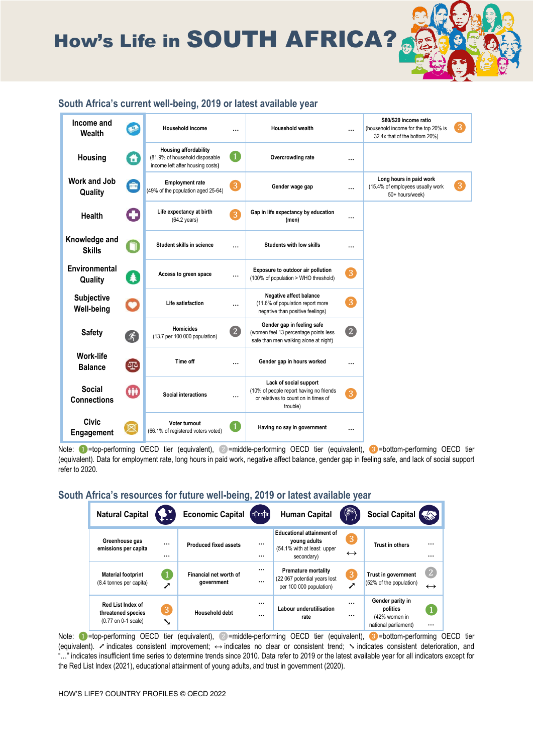How's Life in SOUTH AFRICA?

| Income and<br>Wealth                   | $\bullet$ | <b>Household income</b>                                                                            |                    | <b>Household wealth</b>                                                                                               |                  | S80/S20 income ratio<br>(household income for the top 20% is<br>32.4x that of the bottom 20%) | 3 |
|----------------------------------------|-----------|----------------------------------------------------------------------------------------------------|--------------------|-----------------------------------------------------------------------------------------------------------------------|------------------|-----------------------------------------------------------------------------------------------|---|
| Housing                                | A         | <b>Housing affordability</b><br>(81.9% of household disposable<br>income left after housing costs) | $\left( 1 \right)$ | Overcrowding rate                                                                                                     |                  |                                                                                               |   |
| Work and Job<br>Quality                | E         | <b>Employment rate</b><br>(49% of the population aged 25-64)                                       | 3                  | Gender wage gap                                                                                                       |                  | Long hours in paid work<br>(15.4% of employees usually work<br>50+ hours/week)                | 3 |
| Health                                 | O         | Life expectancy at birth<br>$(64.2 \text{ years})$                                                 | $\overline{3}$     | Gap in life expectancy by education<br>(men)                                                                          |                  |                                                                                               |   |
| Knowledge and<br><b>Skills</b>         | n         | Student skills in science                                                                          |                    | <b>Students with low skills</b>                                                                                       |                  |                                                                                               |   |
| Environmental<br>Quality               | 4         | Access to green space                                                                              |                    | Exposure to outdoor air pollution<br>(100% of population > WHO threshold)                                             | $\left 3\right $ |                                                                                               |   |
| <b>Subjective</b><br><b>Well-being</b> | $\bullet$ | Life satisfaction                                                                                  |                    | Negative affect balance<br>(11.6% of population report more<br>negative than positive feelings)                       | $\overline{3}$   |                                                                                               |   |
| <b>Safety</b>                          | 4         | <b>Homicides</b><br>(13.7 per 100 000 population)                                                  | 2                  | Gender gap in feeling safe<br>(women feel 13 percentage points less<br>safe than men walking alone at night)          | 2                |                                                                                               |   |
| <b>Work-life</b><br><b>Balance</b>     | $\Phi$    | Time off                                                                                           |                    | Gender gap in hours worked                                                                                            |                  |                                                                                               |   |
| Social<br><b>Connections</b>           | GD        | <b>Social interactions</b>                                                                         |                    | Lack of social support<br>(10% of people report having no friends<br>or relatives to count on in times of<br>trouble) | 3                |                                                                                               |   |
| <b>Civic</b><br><b>Engagement</b>      |           | Voter turnout<br>(66.1% of registered voters voted)                                                | $\mathbf{1}$       | Having no say in government                                                                                           |                  |                                                                                               |   |

Note: ❶=top-performing OECD tier (equivalent), ❷=middle-performing OECD tier (equivalent), ❸=bottom-performing OECD tier (equivalent). Data for employment rate, long hours in paid work, negative affect balance, gender gap in feeling safe, and lack of social support refer to 2020.

#### **South Africa's resources for future well-being, 2019 or latest available year**

| <b>Natural Capital</b>                                                |                      | <b>Economic Capital</b>              | (本本           | <b>Human Capital</b>                                                                         | ۵                      | Social Capital                                                        | ☆☆                                    |
|-----------------------------------------------------------------------|----------------------|--------------------------------------|---------------|----------------------------------------------------------------------------------------------|------------------------|-----------------------------------------------------------------------|---------------------------------------|
| Greenhouse gas<br>emissions per capita                                | $\cdots$<br>$\cdots$ | <b>Produced fixed assets</b>         | <br>$\ddotsc$ | <b>Educational attainment of</b><br>young adults<br>(54.1% with at least upper<br>secondary) | 3<br>$\leftrightarrow$ | <b>Trust in others</b>                                                | $\cdots$<br>$\cdots$                  |
| <b>Material footprint</b><br>(8.4 tonnes per capita)                  |                      | Financial net worth of<br>government | <br>$\cdots$  | <b>Premature mortality</b><br>(22 067 potential years lost)<br>per 100 000 population)       | 3                      | Trust in government<br>(52% of the population)                        | $\left 2\right $<br>$\leftrightarrow$ |
| <b>Red List Index of</b><br>threatened species<br>(0.77 on 0-1 scale) | 3<br>↘               | Household debt                       | <br>          | Labour underutilisation<br>rate                                                              | $\cdots$<br>           | Gender parity in<br>politics<br>(42% women in<br>national parliament) | $\cdots$                              |

Note: ❶=top-performing OECD tier (equivalent), ❷=middle-performing OECD tier (equivalent), ❸=bottom-performing OECD tier (equivalent). ➚ indicates consistent improvement; ↔ indicates no clear or consistent trend; ➘ indicates consistent deterioration, and "…" indicates insufficient time series to determine trends since 2010. Data refer to 2019 or the latest available year for all indicators except for the Red List Index (2021), educational attainment of young adults, and trust in government (2020).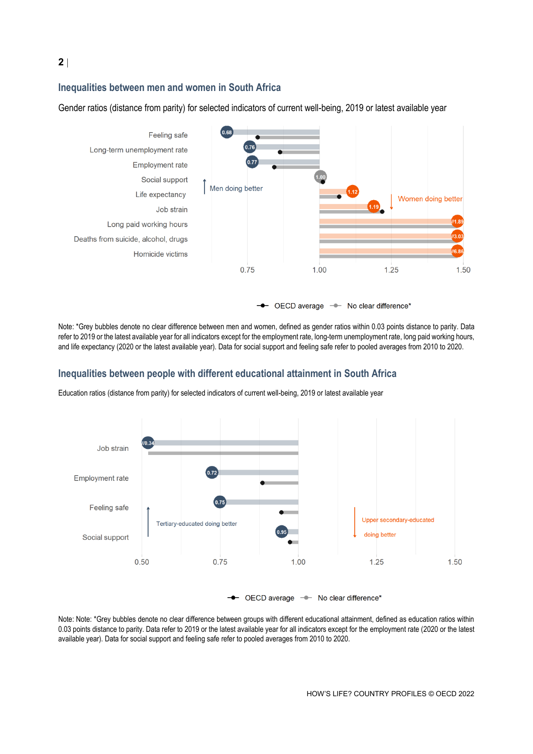# **Inequalities between men and women in South Africa**

Gender ratios (distance from parity) for selected indicators of current well-being, 2019 or latest available year



Note: \*Grey bubbles denote no clear difference between men and women, defined as gender ratios within 0.03 points distance to parity. Data refer to 2019 or the latest available year for all indicators except for the employment rate, long-term unemployment rate, long paid working hours, and life expectancy (2020 or the latest available year). Data for social support and feeling safe refer to pooled averages from 2010 to 2020.

## **Inequalities between people with different educational attainment in South Africa**

Education ratios (distance from parity) for selected indicators of current well-being, 2019 or latest available year



OECD average - No clear difference\*

Note: Note: \*Grey bubbles denote no clear difference between groups with different educational attainment, defined as education ratios within 0.03 points distance to parity. Data refer to 2019 or the latest available year for all indicators except for the employment rate (2020 or the latest available year). Data for social support and feeling safe refer to pooled averages from 2010 to 2020.

## **2**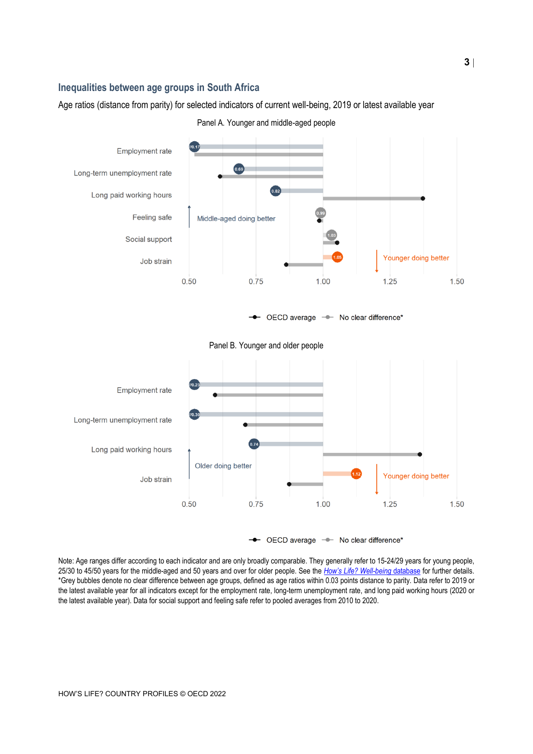#### **Inequalities between age groups in South Africa**

Age ratios (distance from parity) for selected indicators of current well-being, 2019 or latest available year





Note: Age ranges differ according to each indicator and are only broadly comparable. They generally refer to 15-24/29 years for young people, 25/30 to 45/50 years for the middle-aged and 50 years and over for older people. See the *[How's Life? Well](https://stats.oecd.org/Index.aspx?DataSetCode=HSL)-being* database for further details. \*Grey bubbles denote no clear difference between age groups, defined as age ratios within 0.03 points distance to parity. Data refer to 2019 or the latest available year for all indicators except for the employment rate, long-term unemployment rate, and long paid working hours (2020 or the latest available year). Data for social support and feeling safe refer to pooled averages from 2010 to 2020.